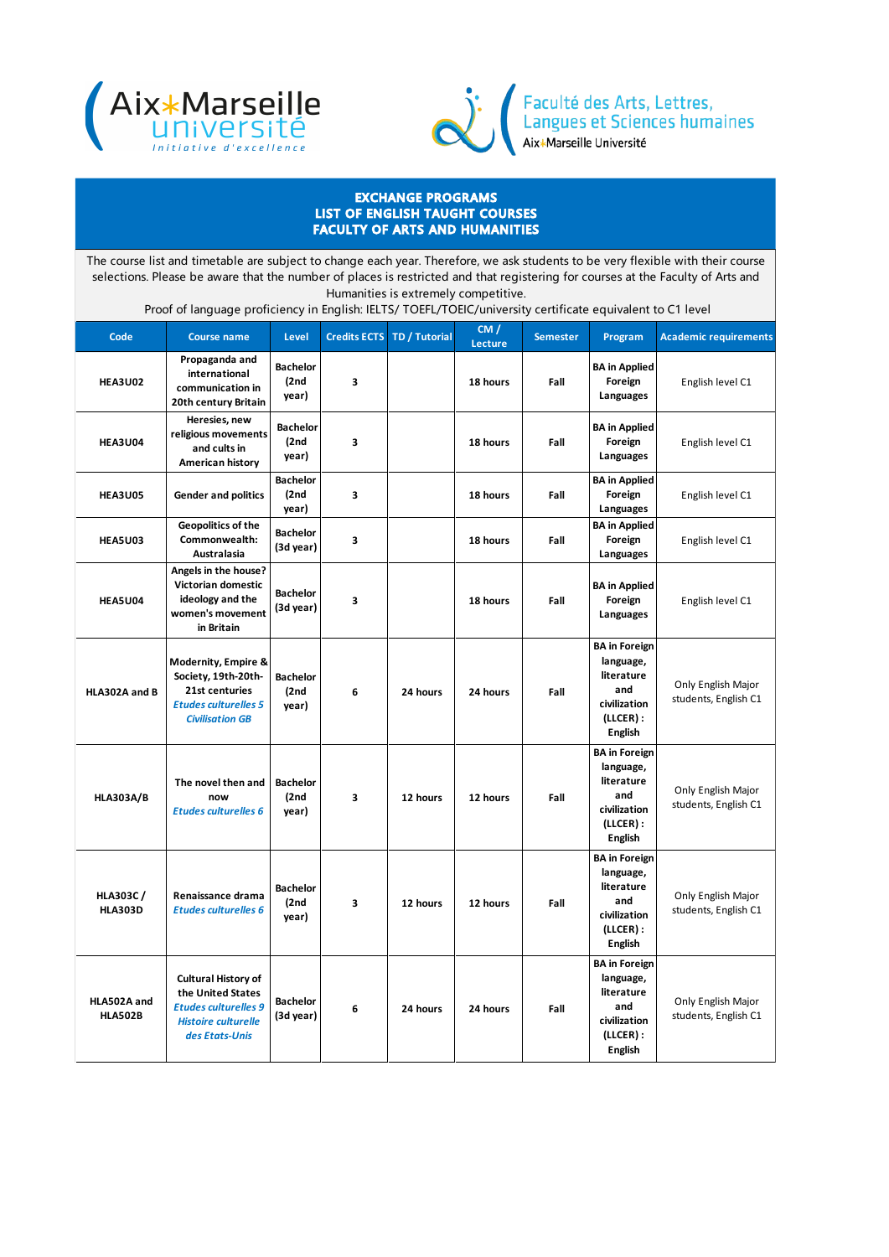



Faculté des Arts, Lettres,<br>Langues et Sciences humaines<br>Aix\*Marseille Université

## EXCHANGE PROGRAMS LIST OF ENGLISH TAUGHT COURSES FACULTY OF ARTS AND HUMANITIES

The course list and timetable are subject to change each year. Therefore, we ask students to be very flexible with their course selections. Please be aware that the number of places is restricted and that registering for courses at the Faculty of Arts and Humanities is extremely competitive.

Proof of language proficiency in English: IELTS/ TOEFL/TOEIC/university certificate equivalent to C1 level

| Code                              | <b>Course name</b>                                                                                                             | Level                             | <b>Credits ECTS</b> | TD / Tutorial | CM /<br>Lecture | <b>Semester</b> | Program                                                                                                 | <b>Academic requirements</b>               |
|-----------------------------------|--------------------------------------------------------------------------------------------------------------------------------|-----------------------------------|---------------------|---------------|-----------------|-----------------|---------------------------------------------------------------------------------------------------------|--------------------------------------------|
| <b>HEA3U02</b>                    | Propaganda and<br>international<br>communication in<br>20th century Britain                                                    | <b>Bachelor</b><br>(2nd)<br>year) | 3                   |               | 18 hours        | Fall            | <b>BA</b> in Applied<br>Foreign<br>Languages                                                            | English level C1                           |
| <b>HEA3U04</b>                    | Heresies, new<br>religious movements<br>and cults in<br>American history                                                       | <b>Bachelor</b><br>(2nd)<br>year) | 3                   |               | 18 hours        | Fall            | <b>BA</b> in Applied<br>Foreign<br>Languages                                                            | English level C1                           |
| <b>HEA3U05</b>                    | <b>Gender and politics</b>                                                                                                     | <b>Bachelor</b><br>(2nd)<br>year) | 3                   |               | 18 hours        | Fall            | <b>BA</b> in Applied<br>Foreign<br>Languages                                                            | English level C1                           |
| <b>HEA5U03</b>                    | Geopolitics of the<br>Commonwealth:<br><b>Australasia</b>                                                                      | <b>Bachelor</b><br>(3d year)      | 3                   |               | 18 hours        | Fall            | <b>BA</b> in Applied<br>Foreign<br>Languages                                                            | English level C1                           |
| <b>HEA5U04</b>                    | Angels in the house?<br>Victorian domestic<br>ideology and the<br>women's movement<br>in Britain                               | <b>Bachelor</b><br>(3d year)      | 3                   |               | 18 hours        | Fall            | <b>BA</b> in Applied<br>Foreign<br>Languages                                                            | English level C1                           |
| HLA302A and B                     | Modernity, Empire &<br>Society, 19th-20th-<br>21st centuries<br><b>Etudes culturelles 5</b><br><b>Civilisation GB</b>          | <b>Bachelor</b><br>(2nd)<br>year) | 6                   | 24 hours      | 24 hours        | Fall            | <b>BA</b> in Foreign<br>language,<br>literature<br>and<br>civilization<br>(LLCER):<br>English           | Only English Major<br>students, English C1 |
| <b>HLA303A/B</b>                  | The novel then and<br>now<br><b>Etudes culturelles 6</b>                                                                       | <b>Bachelor</b><br>(2nd)<br>year) | 3                   | 12 hours      | 12 hours        | Fall            | <b>BA</b> in Foreign<br>language,<br>literature<br>and<br>civilization<br>$(LLCER)$ :<br><b>English</b> | Only English Major<br>students, English C1 |
| <b>HLA303C/</b><br><b>HLA303D</b> | Renaissance drama<br><b>Etudes culturelles 6</b>                                                                               | <b>Bachelor</b><br>(2nd)<br>year) | 3                   | 12 hours      | 12 hours        | Fall            | <b>BA</b> in Foreign<br>language,<br>literature<br>and<br>civilization<br>$(LLCER)$ :<br>English        | Only English Major<br>students, English C1 |
| HLA502A and<br><b>HLA502B</b>     | <b>Cultural History of</b><br>the United States<br><b>Etudes culturelles 9</b><br><b>Histoire culturelle</b><br>des Etats-Unis | <b>Bachelor</b><br>(3d year)      | 6                   | 24 hours      | 24 hours        | Fall            | <b>BA</b> in Foreign<br>language,<br>literature<br>and<br>civilization<br>(LLCER):<br><b>English</b>    | Only English Major<br>students, English C1 |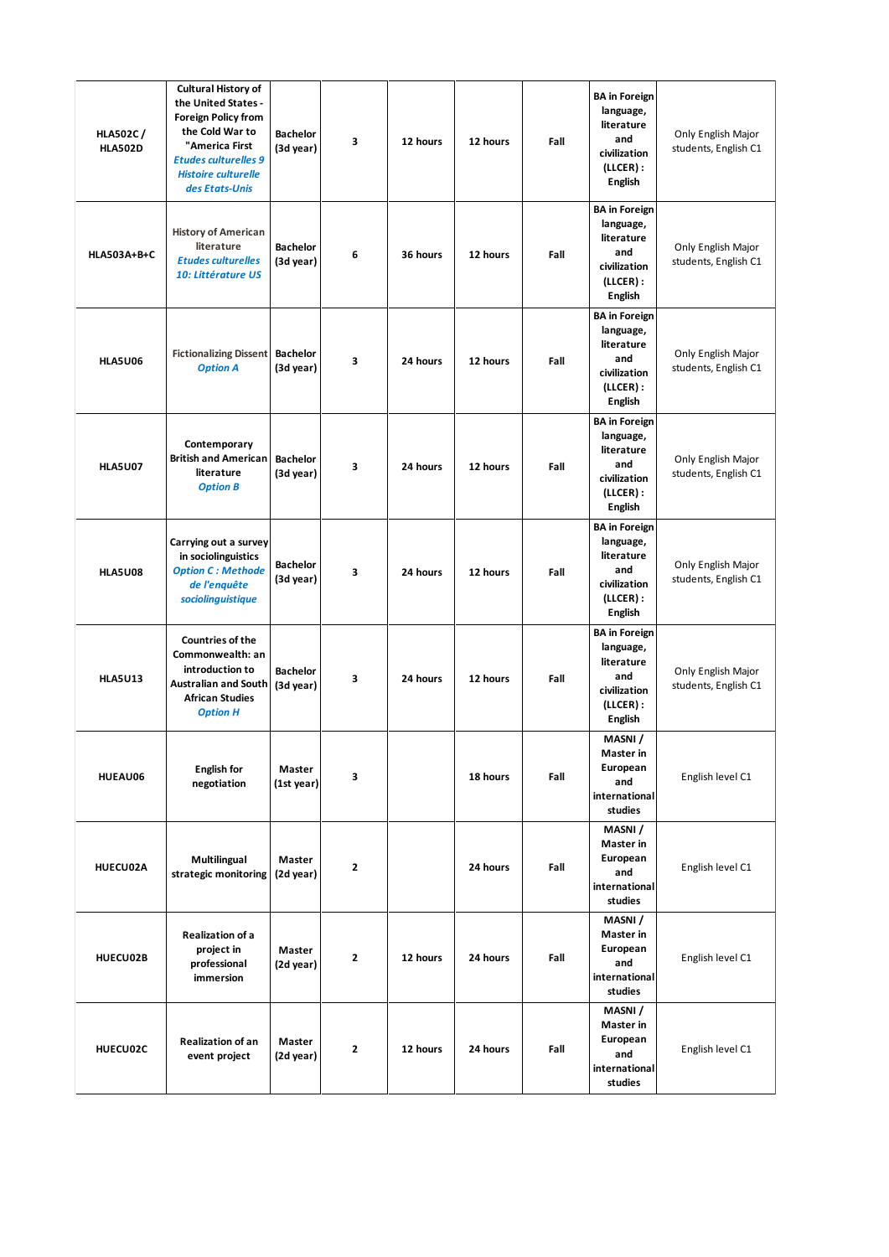| <b>HLA502C/</b><br><b>HLA502D</b> | <b>Cultural History of</b><br>the United States -<br><b>Foreign Policy from</b><br>the Cold War to<br>"America First<br><b>Etudes culturelles 9</b><br><b>Histoire culturelle</b><br>des Etats-Unis | <b>Bachelor</b><br>(3d year) | 3              | 12 hours | 12 hours | Fall | <b>BA</b> in Foreign<br>language,<br>literature<br>and<br>civilization<br>(LLCER):<br><b>English</b>    | Only English Major<br>students, English C1 |
|-----------------------------------|-----------------------------------------------------------------------------------------------------------------------------------------------------------------------------------------------------|------------------------------|----------------|----------|----------|------|---------------------------------------------------------------------------------------------------------|--------------------------------------------|
| <b>HLA503A+B+C</b>                | <b>History of American</b><br>literature<br><b>Etudes culturelles</b><br>10: Littérature US                                                                                                         | <b>Bachelor</b><br>(3d year) | 6              | 36 hours | 12 hours | Fall | <b>BA</b> in Foreign<br>language,<br>literature<br>and<br>civilization<br>(LLCER):<br><b>English</b>    | Only English Major<br>students, English C1 |
| <b>HLA5U06</b>                    | <b>Fictionalizing Dissent</b><br><b>Option A</b>                                                                                                                                                    | <b>Bachelor</b><br>(3d year) | 3              | 24 hours | 12 hours | Fall | <b>BA</b> in Foreign<br>language,<br>literature<br>and<br>civilization<br>$(LLCER)$ :<br><b>English</b> | Only English Major<br>students, English C1 |
| <b>HLA5U07</b>                    | Contemporary<br><b>British and American</b><br>literature<br><b>Option B</b>                                                                                                                        | <b>Bachelor</b><br>(3d year) | 3              | 24 hours | 12 hours | Fall | <b>BA</b> in Foreign<br>language,<br>literature<br>and<br>civilization<br>(LLCER):<br>English           | Only English Major<br>students, English C1 |
| <b>HLA5U08</b>                    | Carrying out a survey<br>in sociolinguistics<br><b>Option C: Methode</b><br>de l'enquête<br>sociolinguistique                                                                                       | <b>Bachelor</b><br>(3d year) | 3              | 24 hours | 12 hours | Fall | <b>BA</b> in Foreign<br>language,<br>literature<br>and<br>civilization<br>(LLCER):<br>English           | Only English Major<br>students, English C1 |
| <b>HLA5U13</b>                    | <b>Countries of the</b><br>Commonwealth: an<br>introduction to<br><b>Australian and South</b><br><b>African Studies</b><br><b>Option H</b>                                                          | <b>Bachelor</b><br>(3d year) | 3              | 24 hours | 12 hours | Fall | <b>BA</b> in Foreign<br>language,<br>literature<br>and<br>civilization<br>(LLCER):<br><b>English</b>    | Only English Major<br>students, English C1 |
| HUEAU06                           | <b>English for</b><br>negotiation                                                                                                                                                                   | Master<br>(1st year)         | 3              |          | 18 hours | Fall | MASNI /<br>Master in<br>European<br>and<br>international<br>studies                                     | English level C1                           |
| HUECU02A                          | Multilingual<br>strategic monitoring                                                                                                                                                                | Master<br>(2d year)          | $\overline{2}$ |          | 24 hours | Fall | MASNI /<br>Master in<br>European<br>and<br>international<br>studies                                     | English level C1                           |
| HUECU02B                          | <b>Realization of a</b><br>project in<br>professional<br>immersion                                                                                                                                  | Master<br>(2d year)          | $\overline{2}$ | 12 hours | 24 hours | Fall | MASNI /<br>Master in<br>European<br>and<br>international<br>studies                                     | English level C1                           |
| HUECU02C                          | <b>Realization of an</b><br>event project                                                                                                                                                           | Master<br>(2d year)          | 2              | 12 hours | 24 hours | Fall | MASNI /<br>Master in<br>European<br>and<br>international<br>studies                                     | English level C1                           |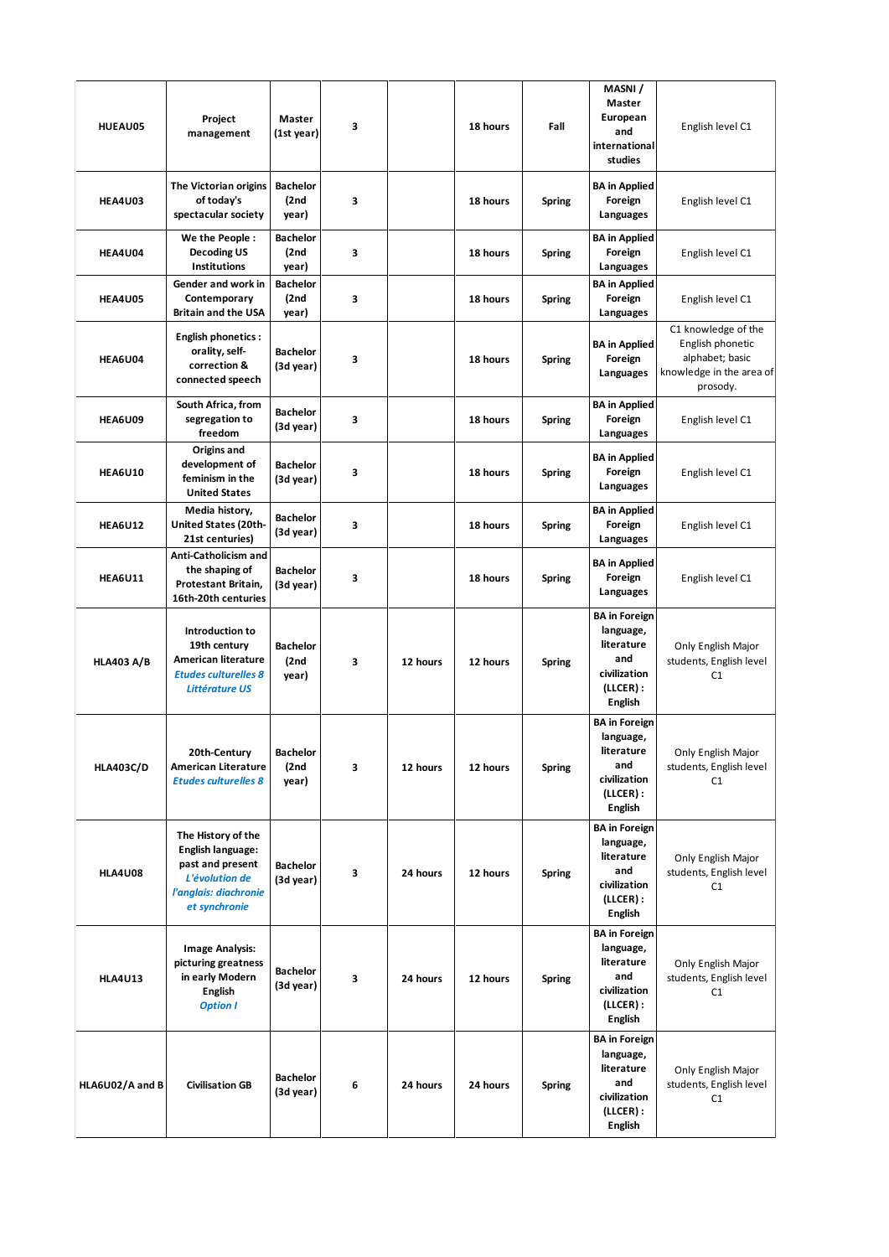| HUEAU05           | Project<br>management                                                                                                   | Master<br>(1st year)             | 3 |          | 18 hours | Fall          | MASNI /<br>Master<br>European<br>and<br>international<br>studies                                        | English level C1                                                                                   |
|-------------------|-------------------------------------------------------------------------------------------------------------------------|----------------------------------|---|----------|----------|---------------|---------------------------------------------------------------------------------------------------------|----------------------------------------------------------------------------------------------------|
| <b>HEA4U03</b>    | The Victorian origins<br>of today's<br>spectacular society                                                              | <b>Bachelor</b><br>(2nd<br>year) | 3 |          | 18 hours | <b>Spring</b> | <b>BA</b> in Applied<br>Foreign<br>Languages                                                            | English level C1                                                                                   |
| <b>HEA4U04</b>    | We the People:<br><b>Decoding US</b><br><b>Institutions</b>                                                             | <b>Bachelor</b><br>(2nd<br>year) | 3 |          | 18 hours | <b>Spring</b> | <b>BA</b> in Applied<br>Foreign<br>Languages                                                            | English level C1                                                                                   |
| <b>HEA4U05</b>    | Gender and work in<br>Contemporary<br><b>Britain and the USA</b>                                                        | <b>Bachelor</b><br>(2nd<br>year) | 3 |          | 18 hours | <b>Spring</b> | <b>BA</b> in Applied<br>Foreign<br>Languages                                                            | English level C1                                                                                   |
| <b>HEA6U04</b>    | <b>English phonetics:</b><br>orality, self-<br>correction &<br>connected speech                                         | <b>Bachelor</b><br>(3d year)     | 3 |          | 18 hours | <b>Spring</b> | <b>BA</b> in Applied<br>Foreign<br>Languages                                                            | C1 knowledge of the<br>English phonetic<br>alphabet; basic<br>knowledge in the area of<br>prosody. |
| <b>HEA6U09</b>    | South Africa, from<br>segregation to<br>freedom                                                                         | <b>Bachelor</b><br>(3d year)     | 3 |          | 18 hours | <b>Spring</b> | <b>BA</b> in Applied<br>Foreign<br>Languages                                                            | English level C1                                                                                   |
| <b>HEA6U10</b>    | Origins and<br>development of<br>feminism in the<br><b>United States</b>                                                | <b>Bachelor</b><br>(3d year)     | 3 |          | 18 hours | <b>Spring</b> | <b>BA</b> in Applied<br>Foreign<br>Languages                                                            | English level C1                                                                                   |
| <b>HEA6U12</b>    | Media history,<br><b>United States (20th-</b><br>21st centuries)                                                        | <b>Bachelor</b><br>(3d year)     | 3 |          | 18 hours | <b>Spring</b> | <b>BA</b> in Applied<br>Foreign<br>Languages                                                            | English level C1                                                                                   |
| <b>HEA6U11</b>    | Anti-Catholicism and<br>the shaping of<br>Protestant Britain,<br>16th-20th centuries                                    | <b>Bachelor</b><br>(3d year)     | 3 |          | 18 hours | <b>Spring</b> | <b>BA</b> in Applied<br>Foreign<br>Languages                                                            | English level C1                                                                                   |
| <b>HLA403 A/B</b> | Introduction to<br>19th century<br><b>American literature</b><br><b>Etudes culturelles 8</b><br><b>Littérature US</b>   | <b>Bachelor</b><br>(2nd<br>year) | 3 | 12 hours | 12 hours | <b>Spring</b> | <b>BA</b> in Foreign<br>language,<br>literature<br>and<br>civilization<br>(LLCER):<br><b>English</b>    | Only English Major<br>students, English level<br>C1                                                |
| <b>HLA403C/D</b>  | 20th-Century<br><b>American Literature</b><br><b>Etudes culturelles 8</b>                                               | Bachelor<br>(2nd<br>year)        | 3 | 12 hours | 12 hours | <b>Spring</b> | <b>BA</b> in Foreign<br>language,<br>literature<br>and<br>civilization<br>$(LLCER)$ :<br><b>English</b> | Only English Major<br>students, English level<br>C1                                                |
| <b>HLA4U08</b>    | The History of the<br>English language:<br>past and present<br>L'évolution de<br>l'anglais: diachronie<br>et synchronie | <b>Bachelor</b><br>(3d year)     | 3 | 24 hours | 12 hours | <b>Spring</b> | <b>BA</b> in Foreign<br>language,<br>literature<br>and<br>civilization<br>(LLCER):<br><b>English</b>    | Only English Major<br>students, English level<br>C1                                                |
| <b>HLA4U13</b>    | <b>Image Analysis:</b><br>picturing greatness<br>in early Modern<br><b>English</b><br><b>Option I</b>                   | <b>Bachelor</b><br>(3d year)     | 3 | 24 hours | 12 hours | <b>Spring</b> | <b>BA</b> in Foreign<br>language,<br>literature<br>and<br>civilization<br>(LLCER):<br><b>English</b>    | Only English Major<br>students, English level<br>C1                                                |
| HLA6U02/A and B   | <b>Civilisation GB</b>                                                                                                  | <b>Bachelor</b><br>(3d year)     | 6 | 24 hours | 24 hours | <b>Spring</b> | <b>BA</b> in Foreign<br>language,<br>literature<br>and<br>civilization<br>(LLCER):<br><b>English</b>    | Only English Major<br>students, English level<br>C1                                                |